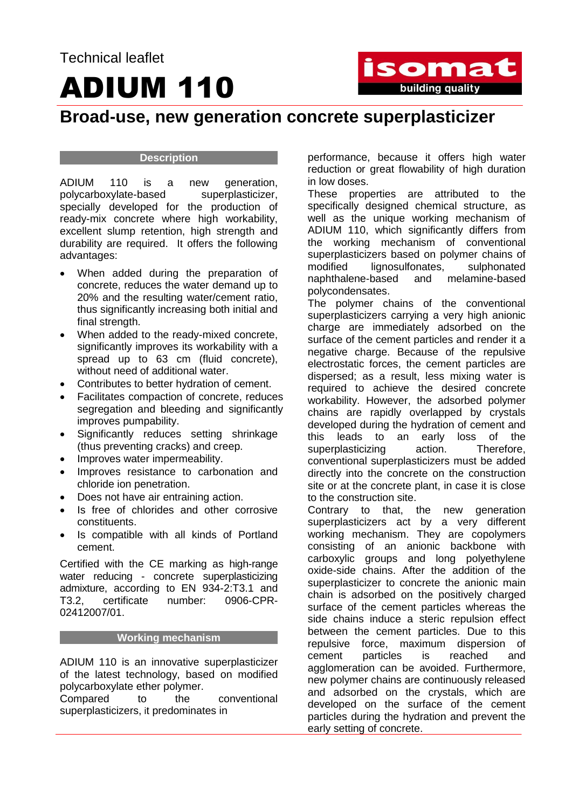# ADIUM 110



### **Broad-use, new generation concrete superplasticizer**

#### **Description**

ADIUM 110 is a new generation, polycarboxylate-based superplasticizer, specially developed for the production of ready-mix concrete where high workability, excellent slump retention, high strength and durability are required. It offers the following advantages:

- When added during the preparation of concrete, reduces the water demand up to 20% and the resulting water/cement ratio, thus significantly increasing both initial and final strength.
- When added to the ready-mixed concrete, significantly improves its workability with a spread up to 63 cm (fluid concrete), without need of additional water.
- Contributes to better hydration of cement.
- Facilitates compaction of concrete, reduces segregation and bleeding and significantly improves pumpability.
- Significantly reduces setting shrinkage (thus preventing cracks) and creep.
- Improves water impermeability.
- Improves resistance to carbonation and chloride ion penetration.
- Does not have air entraining action.
- Is free of chlorides and other corrosive constituents.
- Is compatible with all kinds of Portland cement.

Certified with the CE marking as high-range water reducing - concrete superplasticizing admixture, according to EN 934-2:T3.1 and T3.2, certificate number: 0906-CPR-02412007/01.

#### **Working mechanism**

ADIUM 110 is an innovative superplasticizer of the latest technology, based on modified polycarboxylate ether polymer.

Compared to the conventional superplasticizers, it predominates in

performance, because it offers high water reduction or great flowability of high duration in low doses.

These properties are attributed to the specifically designed chemical structure, as well as the unique working mechanism of ADIUM 110, which significantly differs from the working mechanism of conventional superplasticizers based on polymer chains of modified lignosulfonates, sulphonated naphthalene-based and melamine-based polycondensates.

The polymer chains of the conventional superplasticizers carrying a very high anionic charge are immediately adsorbed on the surface of the cement particles and render it a negative charge. Because of the repulsive electrostatic forces, the cement particles are dispersed; as a result, less mixing water is required to achieve the desired concrete workability. However, the adsorbed polymer chains are rapidly overlapped by crystals developed during the hydration of cement and this leads to an early loss of the<br>superplasticizing action. Therefore. superplasticizing action. Therefore, conventional superplasticizers must be added directly into the concrete on the construction site or at the concrete plant, in case it is close to the construction site.

Contrary to that, the new generation superplasticizers act by a very different working mechanism. They are copolymers consisting of an anionic backbone with carboxylic groups and long polyethylene oxide-side chains. After the addition of the superplasticizer to concrete the anionic main chain is adsorbed on the positively charged surface of the cement particles whereas the side chains induce a steric repulsion effect between the cement particles. Due to this repulsive force, maximum dispersion of cement particles is reached and agglomeration can be avoided. Furthermore, new polymer chains are continuously released and adsorbed on the crystals, which are developed on the surface of the cement particles during the hydration and prevent the early setting of concrete.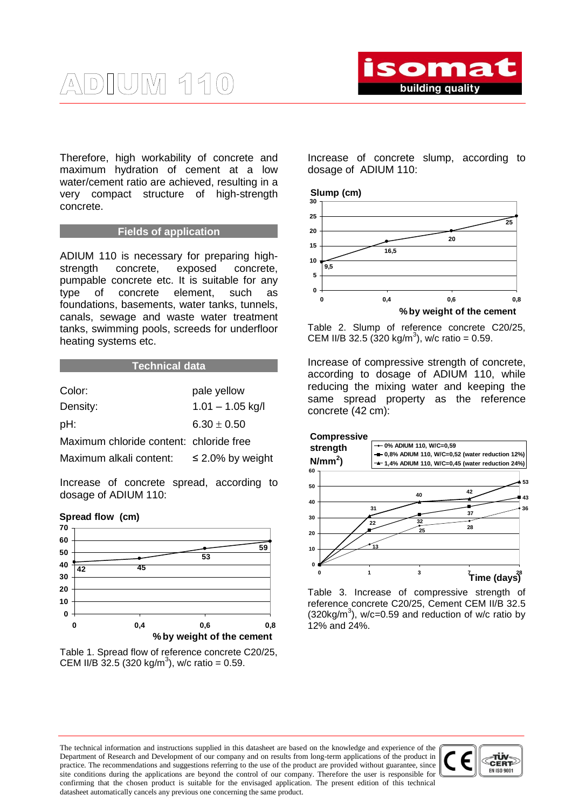Therefore, high workability of concrete and maximum hydration of cement at a low water/cement ratio are achieved, resulting in a very compact structure of high-strength concrete.

#### **Fields of application**

ADIUM 110 is necessary for preparing highstrength concrete, exposed concrete, pumpable concrete etc. It is suitable for any type of concrete element, such as foundations, basements, water tanks, tunnels, canals, sewage and waste water treatment tanks, swimming pools, screeds for underfloor heating systems etc.

| <b>Technical data</b>                   |                       |
|-----------------------------------------|-----------------------|
| Color:                                  | pale yellow           |
| Density:                                | $1.01 - 1.05$ kg/l    |
| pH:                                     | $6.30 + 0.50$         |
| Maximum chloride content: chloride free |                       |
| Maximum alkali content:                 | $\leq$ 2.0% by weight |
|                                         |                       |

Increase of concrete spread, according to dosage of ADIUM 110:



Table 1. Spread flow of reference concrete C20/25, CEM II/B 32.5 (320 kg/m<sup>3</sup>), w/c ratio = 0.59.

Increase of concrete slump, according to dosage of ADIUM 110:

#### **Slump (cm)**



Table 2. Slump of reference concrete C20/25, CEM II/B 32.5 (320 kg/m<sup>3</sup>), w/c ratio = 0.59.

Increase of compressive strength of concrete, according to dosage of ADIUM 110, while reducing the mixing water and keeping the same spread property as the reference concrete (42 cm):





Table 3. Increase of compressive strength of reference concrete C20/25, Cement CEM II/B 32.5  $(320kg/m<sup>3</sup>)$ , w/c=0.59 and reduction of w/c ratio by 12% and 24%.

The technical information and instructions supplied in this datasheet are based on the knowledge and experience of the Department of Research and Development of our company and on results from long-term applications of the product in practice. The recommendations and suggestions referring to the use of the product are provided without guarantee, since site conditions during the applications are beyond the control of our company. Therefore the user is responsible for confirming that the chosen product is suitable for the envisaged application. The present edition of this technical datasheet automatically cancels any previous one concerning the same product.